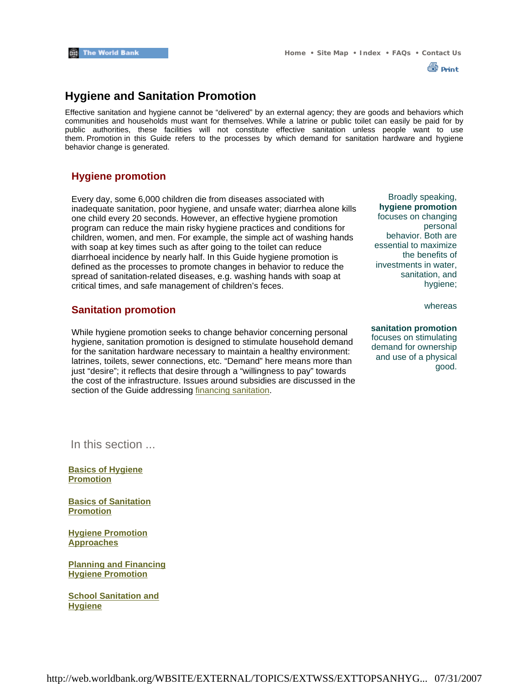

### **Hygiene and Sanitation Promotion**

Effective sanitation and hygiene cannot be "delivered" by an external agency; they are goods and behaviors which communities and households must want for themselves. While a latrine or public toilet can easily be paid for by public authorities, these facilities will not constitute effective sanitation unless people want to use them. Promotion in this Guide refers to the processes by which demand for sanitation hardware and hygiene behavior change is generated.

### **Hygiene promotion**

Every day, some 6,000 children die from diseases associated with inadequate sanitation, poor hygiene, and unsafe water; diarrhea alone kills one child every 20 seconds. However, an effective hygiene promotion program can reduce the main risky hygiene practices and conditions for children, women, and men. For example, the simple act of washing hands with soap at key times such as after going to the toilet can reduce diarrhoeal incidence by nearly half. In this Guide hygiene promotion is defined as the processes to promote changes in behavior to reduce the spread of sanitation-related diseases, e.g. washing hands with soap at critical times, and safe management of children's feces.

### **Sanitation promotion**

While hygiene promotion seeks to change behavior concerning personal hygiene, sanitation promotion is designed to stimulate household demand for the sanitation hardware necessary to maintain a healthy environment: latrines, toilets, sewer connections, etc. "Demand" here means more than just "desire"; it reflects that desire through a "willingness to pay" towards the cost of the infrastructure. Issues around subsidies are discussed in the section of the Guide addressing financing sanitation.

Broadly speaking, **hygiene promotion** focuses on changing personal behavior. Both are essential to maximize the benefits of investments in water, sanitation, and hygiene;

whereas

#### **sanitation promotion**

focuses on stimulating demand for ownership and use of a physical good.

In this section ...

**Basics of Hygiene Promotion**

**Basics of Sanitation Promotion**

**Hygiene Promotion Approaches**

**Planning and Financing Hygiene Promotion**

**School Sanitation and Hygiene**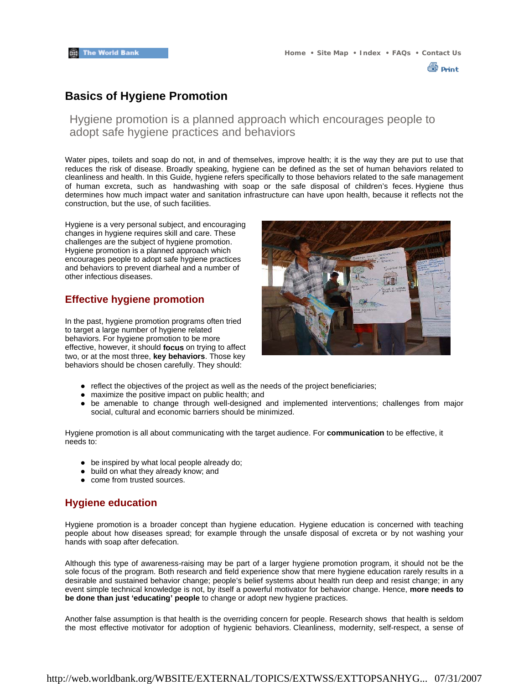∰ Print

### **Basics of Hygiene Promotion**

Hygiene promotion is a planned approach which encourages people to adopt safe hygiene practices and behaviors

Water pipes, toilets and soap do not, in and of themselves, improve health; it is the way they are put to use that reduces the risk of disease. Broadly speaking, hygiene can be defined as the set of human behaviors related to cleanliness and health. In this Guide, hygiene refers specifically to those behaviors related to the safe management of human excreta, such as handwashing with soap or the safe disposal of children's feces. Hygiene thus determines how much impact water and sanitation infrastructure can have upon health, because it reflects not the construction, but the use, of such facilities.

Hygiene is a very personal subject, and encouraging changes in hygiene requires skill and care. These challenges are the subject of hygiene promotion. Hygiene promotion is a planned approach which encourages people to adopt safe hygiene practices and behaviors to prevent diarheal and a number of other infectious diseases.

### **Effective hygiene promotion**

In the past, hygiene promotion programs often tried to target a large number of hygiene related behaviors. For hygiene promotion to be more effective, however, it should **focus** on trying to affect two, or at the most three, **key behaviors**. Those key behaviors should be chosen carefully. They should:



- $\bullet$  reflect the objectives of the project as well as the needs of the project beneficiaries;
- $\bullet$  maximize the positive impact on public health; and
- be amenable to change through well-designed and implemented interventions; challenges from major social, cultural and economic barriers should be minimized.

Hygiene promotion is all about communicating with the target audience. For **communication** to be effective, it needs to:

- $\bullet$  be inspired by what local people already do;
- build on what they already know; and
- come from trusted sources.

### **Hygiene education**

Hygiene promotion is a broader concept than hygiene education. Hygiene education is concerned with teaching people about how diseases spread; for example through the unsafe disposal of excreta or by not washing your hands with soap after defecation.

Although this type of awareness-raising may be part of a larger hygiene promotion program, it should not be the sole focus of the program. Both research and field experience show that mere hygiene education rarely results in a desirable and sustained behavior change; people's belief systems about health run deep and resist change; in any event simple technical knowledge is not, by itself a powerful motivator for behavior change. Hence, **more needs to be done than just 'educating' people** to change or adopt new hygiene practices.

Another false assumption is that health is the overriding concern for people. Research shows that health is seldom the most effective motivator for adoption of hygienic behaviors. Cleanliness, modernity, self-respect, a sense of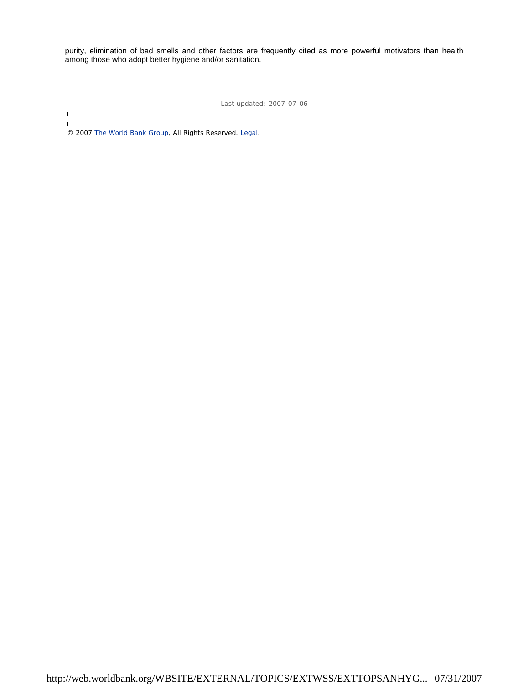purity, elimination of bad smells and other factors are frequently cited as more powerful motivators than health among those who adopt better hygiene and/or sanitation.

Last updated: 2007-07-06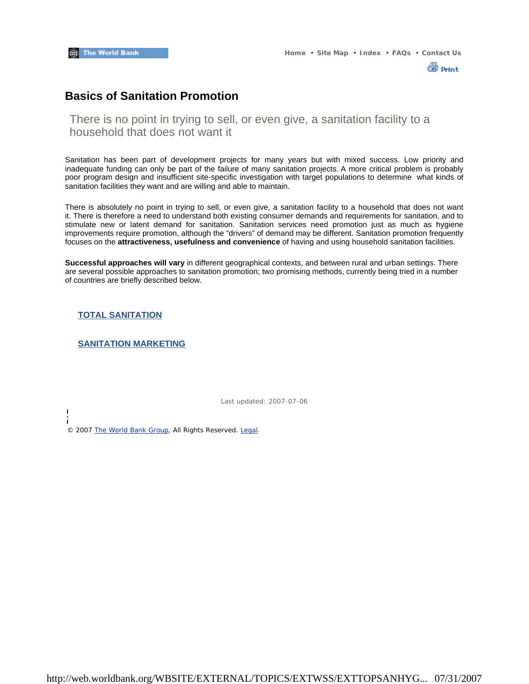

### **Basics of Sanitation Promotion**

There is no point in trying to sell, or even give, a sanitation facility to a household that does not want it

Sanitation has been part of development projects for many years but with mixed success. Low priority and inadequate funding can only be part of the failure of many sanitation projects. A more critical problem is probably poor program design and insufficient site-specific investigation with target populations to determine what kinds of sanitation facilities they want and are willing and able to maintain.

There is absolutely no point in trying to sell, or even give, a sanitation facility to a household that does not want it. There is therefore a need to understand both existing consumer demands and requirements for sanitation, and to stimulate new or latent demand for sanitation. Sanitation services need promotion just as much as hygiene improvements require promotion, although the "drivers" of demand may be different. Sanitation promotion frequently focuses on the **attractiveness, usefulness and convenience** of having and using household sanitation facilities.

**Successful approaches will vary** in different geographical contexts, and between rural and urban settings. There are several possible approaches to sanitation promotion; two promising methods, currently being tried in a number of countries are briefly described below.

**TOTAL SANITATION**

 $\overline{\phantom{a}}$  $\mathbf{I}$ 

#### **SANITATION MARKETING**

Last updated: 2007-07-06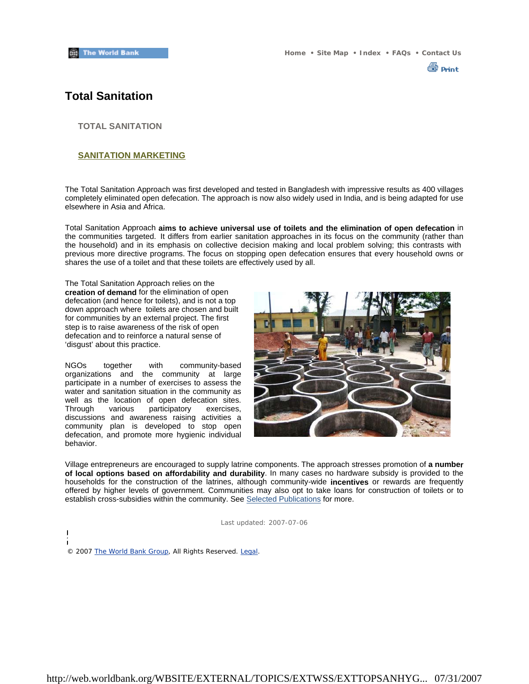

### **Total Sanitation**

**TOTAL SANITATION**

#### **SANITATION MARKETING**

The Total Sanitation Approach was first developed and tested in Bangladesh with impressive results as 400 villages completely eliminated open defecation. The approach is now also widely used in India, and is being adapted for use elsewhere in Asia and Africa.

Total Sanitation Approach **aims to achieve universal use of toilets and the elimination of open defecation** in the communities targeted. It differs from earlier sanitation approaches in its focus on the community (rather than the household) and in its emphasis on collective decision making and local problem solving; this contrasts with previous more directive programs. The focus on stopping open defecation ensures that every household owns or shares the use of a toilet and that these toilets are effectively used by all.

The Total Sanitation Approach relies on the **creation of demand** for the elimination of open defecation (and hence for toilets), and is not a top down approach where toilets are chosen and built for communities by an external project. The first step is to raise awareness of the risk of open defecation and to reinforce a natural sense of 'disgust' about this practice.

NGOs together with community-based organizations and the community at large participate in a number of exercises to assess the water and sanitation situation in the community as well as the location of open defecation sites.<br>Through various participatory exercises. various participatory exercises, discussions and awareness raising activities a community plan is developed to stop open defecation, and promote more hygienic individual behavior.



Village entrepreneurs are encouraged to supply latrine components. The approach stresses promotion of **a number of local options based on affordability and durability**. In many cases no hardware subsidy is provided to the households for the construction of the latrines, although community-wide **incentives** or rewards are frequently offered by higher levels of government. Communities may also opt to take loans for construction of toilets or to establish cross-subsidies within the community. See Selected Publications for more.

Last updated: 2007-07-06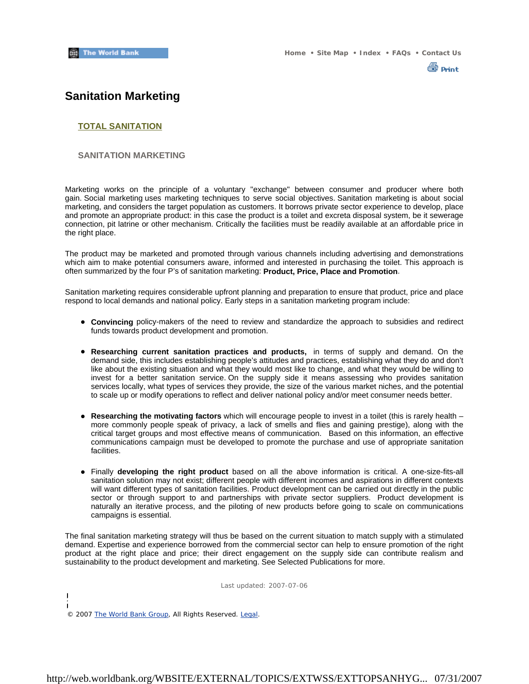

### **Sanitation Marketing**

#### **TOTAL SANITATION**

#### **SANITATION MARKETING**

Marketing works on the principle of a voluntary "exchange" between consumer and producer where both gain. Social marketing uses marketing techniques to serve social objectives. Sanitation marketing is about social marketing, and considers the target population as customers. It borrows private sector experience to develop, place and promote an appropriate product: in this case the product is a toilet and excreta disposal system, be it sewerage connection, pit latrine or other mechanism. Critically the facilities must be readily available at an affordable price in the right place.

The product may be marketed and promoted through various channels including advertising and demonstrations which aim to make potential consumers aware, informed and interested in purchasing the toilet. This approach is often summarized by the four P's of sanitation marketing: **Product, Price, Place and Promotion**.

Sanitation marketing requires considerable upfront planning and preparation to ensure that product, price and place respond to local demands and national policy. Early steps in a sanitation marketing program include:

- **Convincing** policy-makers of the need to review and standardize the approach to subsidies and redirect funds towards product development and promotion.
- **Researching current sanitation practices and products,** in terms of supply and demand. On the demand side, this includes establishing people's attitudes and practices, establishing what they do and don't like about the existing situation and what they would most like to change, and what they would be willing to invest for a better sanitation service. On the supply side it means assessing who provides sanitation services locally, what types of services they provide, the size of the various market niches, and the potential to scale up or modify operations to reflect and deliver national policy and/or meet consumer needs better.
- Researching the motivating factors which will encourage people to invest in a toilet (this is rarely health more commonly people speak of privacy, a lack of smells and flies and gaining prestige), along with the critical target groups and most effective means of communication. Based on this information, an effective communications campaign must be developed to promote the purchase and use of appropriate sanitation facilities.
- z Finally **developing the right product** based on all the above information is critical. A one-size-fits-all sanitation solution may not exist; different people with different incomes and aspirations in different contexts will want different types of sanitation facilities. Product development can be carried out directly in the public sector or through support to and partnerships with private sector suppliers. Product development is naturally an iterative process, and the piloting of new products before going to scale on communications campaigns is essential.

The final sanitation marketing strategy will thus be based on the current situation to match supply with a stimulated demand. Expertise and experience borrowed from the commercial sector can help to ensure promotion of the right product at the right place and price; their direct engagement on the supply side can contribute realism and sustainability to the product development and marketing. See Selected Publications for more.

Last updated: 2007-07-06

 $\mathbf{I}$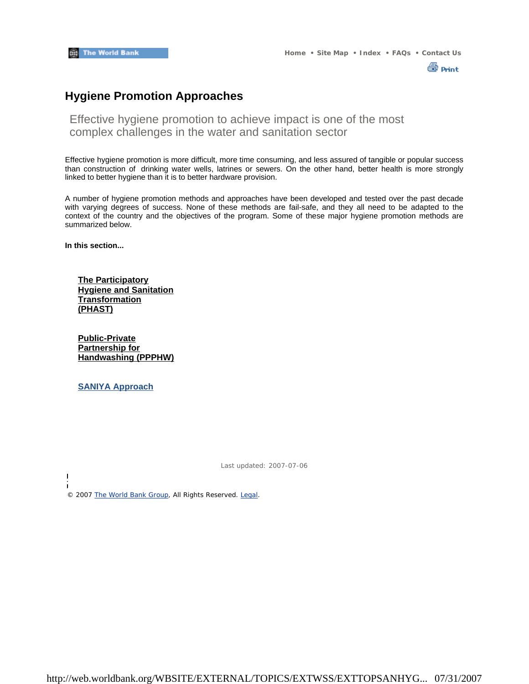

# **Hygiene Promotion Approaches**

Effective hygiene promotion to achieve impact is one of the most complex challenges in the water and sanitation sector

Effective hygiene promotion is more difficult, more time consuming, and less assured of tangible or popular success than construction of drinking water wells, latrines or sewers. On the other hand, better health is more strongly linked to better hygiene than it is to better hardware provision.

A number of hygiene promotion methods and approaches have been developed and tested over the past decade with varying degrees of success. None of these methods are fail-safe, and they all need to be adapted to the context of the country and the objectives of the program. Some of these major hygiene promotion methods are summarized below.

**In this section...**

**The Participatory Hygiene and Sanitation Transformation (PHAST)**

**Public-Private Partnership for Handwashing (PPPHW)**

**SANIYA Approach**

ï

Last updated: 2007-07-06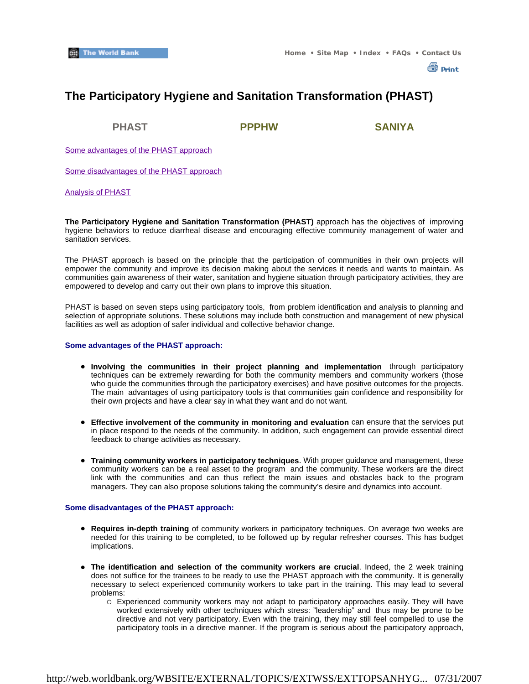**A** Print

# **The Participatory Hygiene and Sanitation Transformation (PHAST)**

**PHAST PPPHW SANIYA**

Some advantages of the PHAST approach

Some disadvantages of the PHAST approach

#### Analysis of PHAST

**The Participatory Hygiene and Sanitation Transformation (PHAST)** approach has the objectives of improving hygiene behaviors to reduce diarrheal disease and encouraging effective community management of water and sanitation services.

The PHAST approach is based on the principle that the participation of communities in their own projects will empower the community and improve its decision making about the services it needs and wants to maintain. As communities gain awareness of their water, sanitation and hygiene situation through participatory activities, they are empowered to develop and carry out their own plans to improve this situation.

PHAST is based on seven steps using participatory tools, from problem identification and analysis to planning and selection of appropriate solutions. These solutions may include both construction and management of new physical facilities as well as adoption of safer individual and collective behavior change.

#### **Some advantages of the PHAST approach:**

- **Involving the communities in their project planning and implementation** through participatory techniques can be extremely rewarding for both the community members and community workers (those who guide the communities through the participatory exercises) and have positive outcomes for the projects. The main advantages of using participatory tools is that communities gain confidence and responsibility for their own projects and have a clear say in what they want and do not want.
- **Effective involvement of the community in monitoring and evaluation can ensure that the services put <b>example** in place respond to the needs of the community. In addition, such engagement can provide essential direct feedback to change activities as necessary.
- **Training community workers in participatory techniques**. With proper guidance and management, these community workers can be a real asset to the program and the community. These workers are the direct link with the communities and can thus reflect the main issues and obstacles back to the program managers. They can also propose solutions taking the community's desire and dynamics into account.

#### **Some disadvantages of the PHAST approach:**

- **Requires in-depth training** of community workers in participatory techniques. On average two weeks are needed for this training to be completed, to be followed up by regular refresher courses. This has budget implications.
- The identification and selection of the community workers are crucial. Indeed, the 2 week training does not suffice for the trainees to be ready to use the PHAST approach with the community. It is generally necessary to select experienced community workers to take part in the training. This may lead to several problems:
	- $\circ$  Experienced community workers may not adapt to participatory approaches easily. They will have worked extensively with other techniques which stress: "leadership" and thus may be prone to be directive and not very participatory. Even with the training, they may still feel compelled to use the participatory tools in a directive manner. If the program is serious about the participatory approach,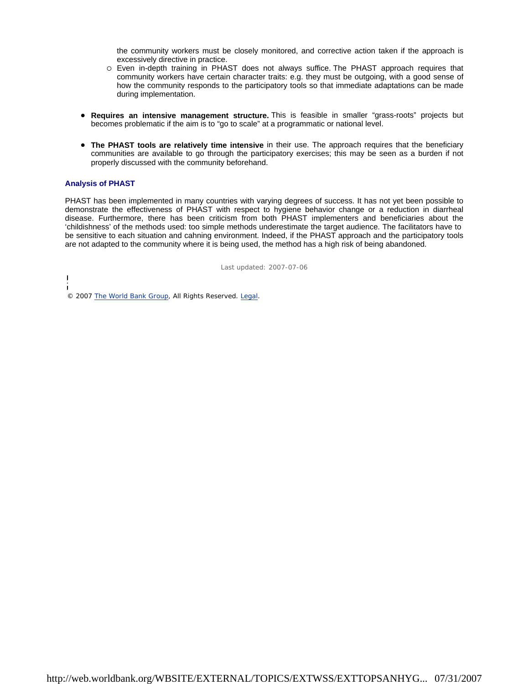the community workers must be closely monitored, and corrective action taken if the approach is excessively directive in practice.

- $\circ$  Even in-depth training in PHAST does not always suffice. The PHAST approach requires that community workers have certain character traits: e.g. they must be outgoing, with a good sense of how the community responds to the participatory tools so that immediate adaptations can be made during implementation.
- **Requires an intensive management structure.** This is feasible in smaller "grass-roots" projects but becomes problematic if the aim is to "go to scale" at a programmatic or national level.
- **The PHAST tools are relatively time intensive** in their use. The approach requires that the beneficiary communities are available to go through the participatory exercises; this may be seen as a burden if not properly discussed with the community beforehand.

#### **Analysis of PHAST**

PHAST has been implemented in many countries with varying degrees of success. It has not yet been possible to demonstrate the effectiveness of PHAST with respect to hygiene behavior change or a reduction in diarrheal disease. Furthermore, there has been criticism from both PHAST implementers and beneficiaries about the 'childishness' of the methods used: too simple methods underestimate the target audience. The facilitators have to be sensitive to each situation and cahning environment. Indeed, if the PHAST approach and the participatory tools are not adapted to the community where it is being used, the method has a high risk of being abandoned.

Last updated: 2007-07-06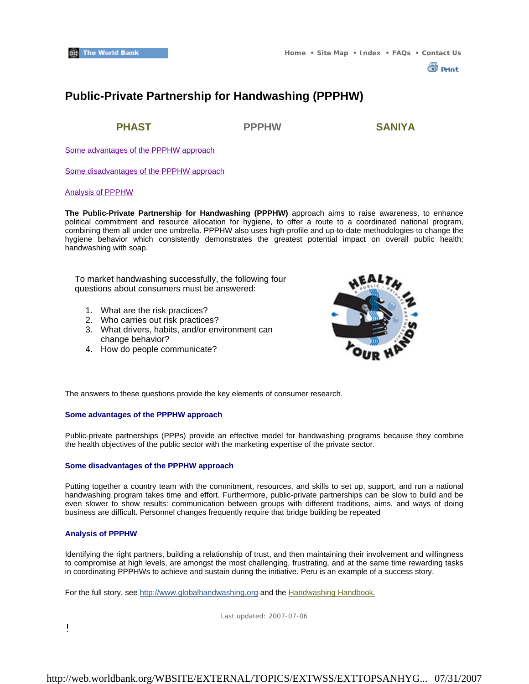

# **Public-Private Partnership for Handwashing (PPPHW)**

**PHAST PPPHW SANIYA**

Some advantages of the PPPHW approach

Some disadvantages of the PPPHW approach

#### Analysis of PPPHW

**The Public-Private Partnership for Handwashing (PPPHW)** approach aims to raise awareness, to enhance political commitment and resource allocation for hygiene, to offer a route to a coordinated national program, combining them all under one umbrella. PPPHW also uses high-profile and up-to-date methodologies to change the hygiene behavior which consistently demonstrates the greatest potential impact on overall public health; handwashing with soap.

To market handwashing successfully, the following four questions about consumers must be answered:

- 1. What are the risk practices?
- 2. Who carries out risk practices?
- 3. What drivers, habits, and/or environment can change behavior?
- 4. How do people communicate?



The answers to these questions provide the key elements of consumer research.

#### **Some advantages of the PPPHW approach**

Public-private partnerships (PPPs) provide an effective model for handwashing programs because they combine the health objectives of the public sector with the marketing expertise of the private sector.

#### **Some disadvantages of the PPPHW approach**

Putting together a country team with the commitment, resources, and skills to set up, support, and run a national handwashing program takes time and effort. Furthermore, public-private partnerships can be slow to build and be even slower to show results: communication between groups with different traditions, aims, and ways of doing business are difficult. Personnel changes frequently require that bridge building be repeated

#### **Analysis of PPPHW**

Identifying the right partners, building a relationship of trust, and then maintaining their involvement and willingness to compromise at high levels, are amongst the most challenging, frustrating, and at the same time rewarding tasks in coordinating PPPHWs to achieve and sustain during the initiative. Peru is an example of a success story.

For the full story, see http://www.globalhandwashing.org and the Handwashing Handbook.

Last updated: 2007-07-06

 $\frac{1}{2}$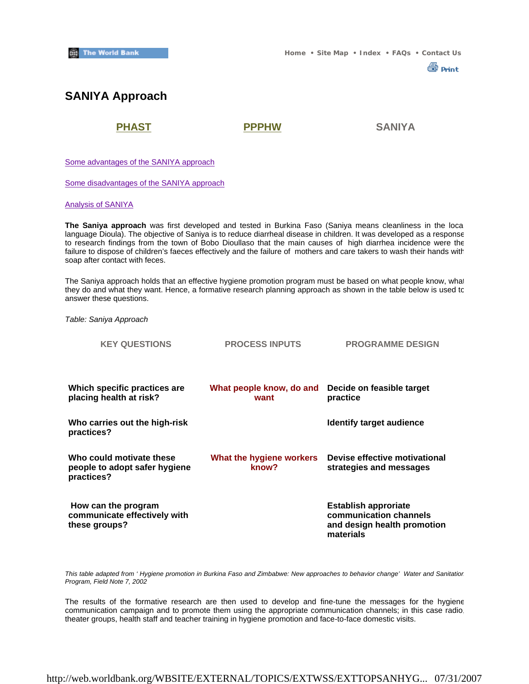**A** Print

# **SANIYA Approach**

**PHAST PPPHW SANIYA**

Some advantages of the SANIYA approach

Some disadvantages of the SANIYA approach

Analysis of SANIYA

**The Saniya approach** was first developed and tested in Burkina Faso (Saniya means cleanliness in the loca language Dioula). The objective of Saniya is to reduce diarrheal disease in children. It was developed as a response to research findings from the town of Bobo Dioullaso that the main causes of high diarrhea incidence were the failure to dispose of children's faeces effectively and the failure of mothers and care takers to wash their hands with soap after contact with feces.

The Saniya approach holds that an effective hygiene promotion program must be based on what people know, what they do and what they want. Hence, a formative research planning approach as shown in the table below is used to answer these questions.

*Table: Saniya Approach*

| <b>KEY QUESTIONS</b>                                                    | <b>PROCESS INPUTS</b>             | <b>PROGRAMME DESIGN</b>                                                                           |
|-------------------------------------------------------------------------|-----------------------------------|---------------------------------------------------------------------------------------------------|
| Which specific practices are<br>placing health at risk?                 | What people know, do and<br>want  | Decide on feasible target<br>practice                                                             |
| Who carries out the high-risk<br>practices?                             |                                   | Identify target audience                                                                          |
| Who could motivate these<br>people to adopt safer hygiene<br>practices? | What the hygiene workers<br>know? | Devise effective motivational<br>strategies and messages                                          |
| How can the program<br>communicate effectively with<br>these groups?    |                                   | <b>Establish approriate</b><br>communication channels<br>and design health promotion<br>materials |

*This table adapted from ' Hygiene promotion in Burkina Faso and Zimbabwe: New approaches to behavior change' Water and Sanitation Program, Field Note 7, 2002*

The results of the formative research are then used to develop and fine-tune the messages for the hygiene communication campaign and to promote them using the appropriate communication channels; in this case radio, theater groups, health staff and teacher training in hygiene promotion and face-to-face domestic visits.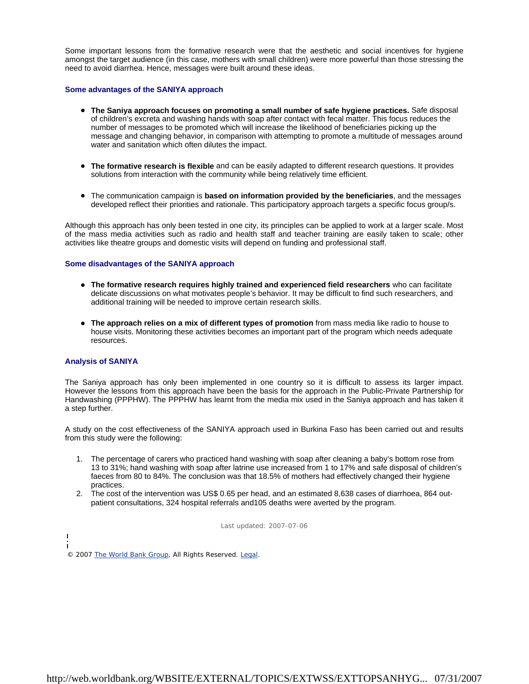Some important lessons from the formative research were that the aesthetic and social incentives for hygiene amongst the target audience (in this case, mothers with small children) were more powerful than those stressing the need to avoid diarrhea. Hence, messages were built around these ideas.

#### **Some advantages of the SANIYA approach**

- **The Saniya approach focuses on promoting a small number of safe hygiene practices.** Safe disposal of children's excreta and washing hands with soap after contact with fecal matter. This focus reduces the number of messages to be promoted which will increase the likelihood of beneficiaries picking up the message and changing behavior, in comparison with attempting to promote a multitude of messages around water and sanitation which often dilutes the impact.
- **The formative research is flexible** and can be easily adapted to different research questions. It provides solutions from interaction with the community while being relatively time efficient.
- The communication campaign is **based on information provided by the beneficiaries**, and the messages developed reflect their priorities and rationale. This participatory approach targets a specific focus group/s.

Although this approach has only been tested in one city, its principles can be applied to work at a larger scale. Most of the mass media activities such as radio and health staff and teacher training are easily taken to scale; other activities like theatre groups and domestic visits will depend on funding and professional staff.

#### **Some disadvantages of the SANIYA approach**

- **The formative research requires highly trained and experienced field researchers** who can facilitate delicate discussions on what motivates people's behavior. It may be difficult to find such researchers, and additional training will be needed to improve certain research skills.
- **The approach relies on a mix of different types of promotion** from mass media like radio to house to house visits. Monitoring these activities becomes an important part of the program which needs adequate resources.

#### **Analysis of SANIYA**

The Saniya approach has only been implemented in one country so it is difficult to assess its larger impact. However the lessons from this approach have been the basis for the approach in the Public-Private Partnership for Handwashing (PPPHW). The PPPHW has learnt from the media mix used in the Saniya approach and has taken it a step further.

A study on the cost effectiveness of the SANIYA approach used in Burkina Faso has been carried out and results from this study were the following:

- 1. The percentage of carers who practiced hand washing with soap after cleaning a baby's bottom rose from 13 to 31%; hand washing with soap after latrine use increased from 1 to 17% and safe disposal of children's faeces from 80 to 84%. The conclusion was that 18.5% of mothers had effectively changed their hygiene practices.
- 2. The cost of the intervention was US\$ 0.65 per head, and an estimated 8,638 cases of diarrhoea, 864 outpatient consultations, 324 hospital referrals and105 deaths were averted by the program.

Last updated: 2007-07-06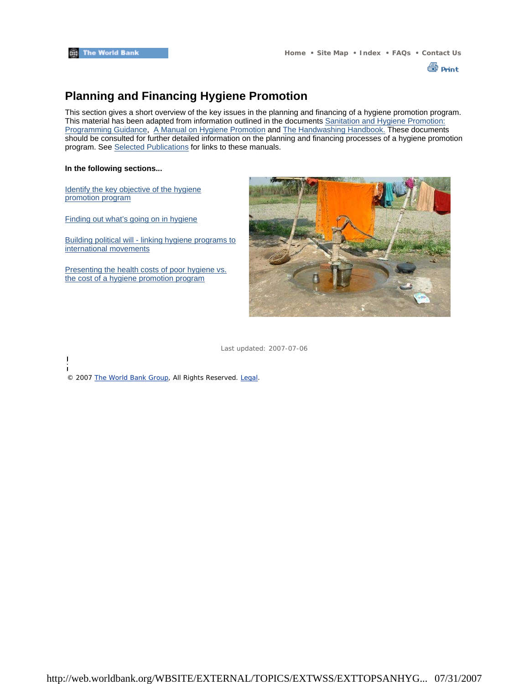

# **Planning and Financing Hygiene Promotion**

This section gives a short overview of the key issues in the planning and financing of a hygiene promotion program. This material has been adapted from information outlined in the documents Sanitation and Hygiene Promotion: Programming Guidance, A Manual on Hygiene Promotion and The Handwashing Handbook. These documents should be consulted for further detailed information on the planning and financing processes of a hygiene promotion program. See Selected Publications for links to these manuals.

#### **In the following sections...**

 $\overline{\phantom{a}}$  $\overline{1}$ 

Identify the key objective of the hygiene promotion program

Finding out what's going on in hygiene

Building political will - linking hygiene programs to international movements

Presenting the health costs of poor hygiene vs. the cost of a hygiene promotion program



Last updated: 2007-07-06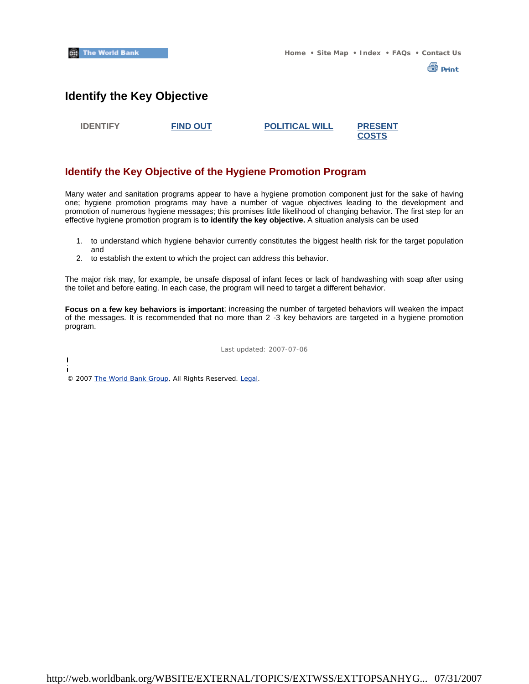

### **Identify the Key Objective**

**IDENTIFY FIND OUT POLITICAL WILL PRESENT** 

**COSTS**

### **Identify the Key Objective of the Hygiene Promotion Program**

Many water and sanitation programs appear to have a hygiene promotion component just for the sake of having one; hygiene promotion programs may have a number of vague objectives leading to the development and promotion of numerous hygiene messages; this promises little likelihood of changing behavior. The first step for an effective hygiene promotion program is **to identify the key objective.** A situation analysis can be used

- 1. to understand which hygiene behavior currently constitutes the biggest health risk for the target population and
- 2. to establish the extent to which the project can address this behavior.

The major risk may, for example, be unsafe disposal of infant feces or lack of handwashing with soap after using the toilet and before eating. In each case, the program will need to target a different behavior.

**Focus on a few key behaviors is important**; increasing the number of targeted behaviors will weaken the impact of the messages. It is recommended that no more than 2 -3 key behaviors are targeted in a hygiene promotion program.

Last updated: 2007-07-06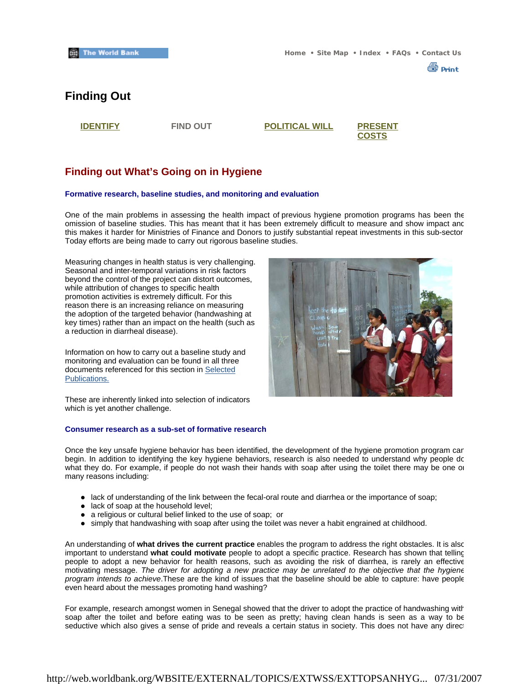

# **Finding Out**

**IDENTIFY FIND OUT POLITICAL WILL PRESENT** 

**COSTS**

### **Finding out What's Going on in Hygiene**

#### **Formative research, baseline studies, and monitoring and evaluation**

One of the main problems in assessing the health impact of previous hygiene promotion programs has been the omission of baseline studies. This has meant that it has been extremely difficult to measure and show impact and this makes it harder for Ministries of Finance and Donors to justify substantial repeat investments in this sub-sector Today efforts are being made to carry out rigorous baseline studies.

Measuring changes in health status is very challenging. Seasonal and inter-temporal variations in risk factors beyond the control of the project can distort outcomes, while attribution of changes to specific health promotion activities is extremely difficult. For this reason there is an increasing reliance on measuring the adoption of the targeted behavior (handwashing at key times) rather than an impact on the health (such as a reduction in diarrheal disease).

Information on how to carry out a baseline study and monitoring and evaluation can be found in all three documents referenced for this section in Selected Publications.



These are inherently linked into selection of indicators which is yet another challenge.

#### **Consumer research as a sub-set of formative research**

Once the key unsafe hygiene behavior has been identified, the development of the hygiene promotion program can begin. In addition to identifying the key hygiene behaviors, research is also needed to understand why people dc what they do. For example, if people do not wash their hands with soap after using the toilet there may be one or many reasons including:

- lack of understanding of the link between the fecal-oral route and diarrhea or the importance of soap;
- lack of soap at the household level;
- a religious or cultural belief linked to the use of soap; or
- simply that handwashing with soap after using the toilet was never a habit engrained at childhood.

An understanding of **what drives the current practice** enables the program to address the right obstacles. It is also important to understand **what could motivate** people to adopt a specific practice. Research has shown that telling people to adopt a new behavior for health reasons, such as avoiding the risk of diarrhea, is rarely an effective motivating message. *The driver for adopting a new practice may be unrelated to the objective that the hygiene program intends to achieve*.These are the kind of issues that the baseline should be able to capture: have people even heard about the messages promoting hand washing?

For example, research amongst women in Senegal showed that the driver to adopt the practice of handwashing with soap after the toilet and before eating was to be seen as pretty; having clean hands is seen as a way to be seductive which also gives a sense of pride and reveals a certain status in society. This does not have any direct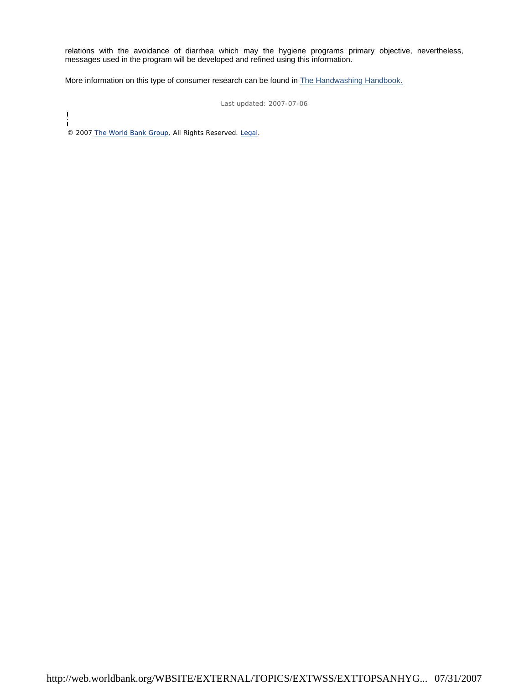relations with the avoidance of diarrhea which may the hygiene programs primary objective, nevertheless, messages used in the program will be developed and refined using this information.

More information on this type of consumer research can be found in **The Handwashing Handbook.** 

Last updated: 2007-07-06

 $\overline{1}$ Ť © 2007 The World Bank Group, All Rights Reserved. Legal.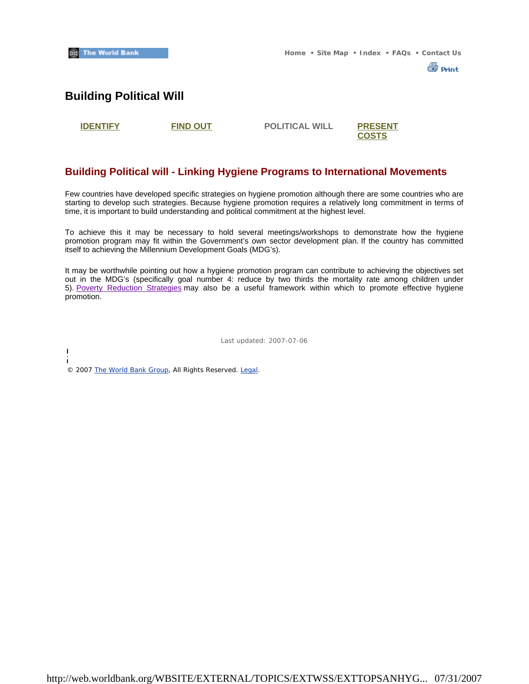

### **Building Political Will**

 $\overline{1}$ 

**IDENTIFY FIND OUT POLITICAL WILL PRESENT** 

# **COSTS**

### **Building Political will - Linking Hygiene Programs to International Movements**

Few countries have developed specific strategies on hygiene promotion although there are some countries who are starting to develop such strategies. Because hygiene promotion requires a relatively long commitment in terms of time, it is important to build understanding and political commitment at the highest level.

To achieve this it may be necessary to hold several meetings/workshops to demonstrate how the hygiene promotion program may fit within the Government's own sector development plan. If the country has committed itself to achieving the Millennium Development Goals (MDG's).

It may be worthwhile pointing out how a hygiene promotion program can contribute to achieving the objectives set out in the MDG's (specifically goal number 4: reduce by two thirds the mortality rate among children under 5). Poverty Reduction Strategies may also be a useful framework within which to promote effective hygiene promotion.

Last updated: 2007-07-06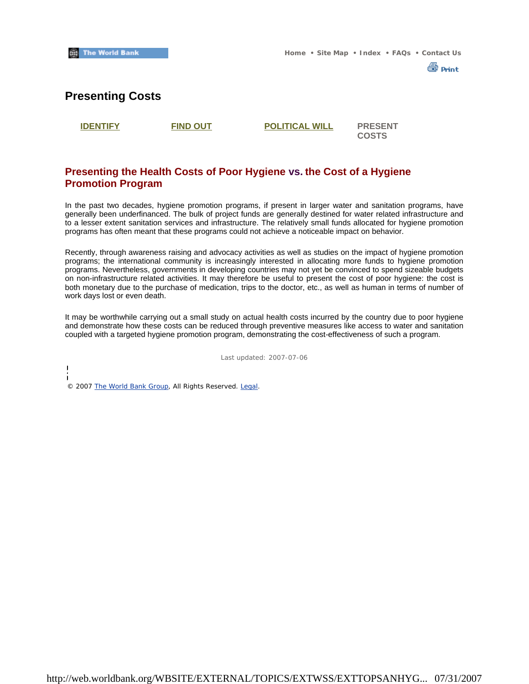

### **Presenting Costs**

**IDENTIFY FIND OUT POLITICAL WILL PRESENT** 

**COSTS**

### **Presenting the Health Costs of Poor Hygiene vs. the Cost of a Hygiene Promotion Program**

In the past two decades, hygiene promotion programs, if present in larger water and sanitation programs, have generally been underfinanced. The bulk of project funds are generally destined for water related infrastructure and to a lesser extent sanitation services and infrastructure. The relatively small funds allocated for hygiene promotion programs has often meant that these programs could not achieve a noticeable impact on behavior.

Recently, through awareness raising and advocacy activities as well as studies on the impact of hygiene promotion programs; the international community is increasingly interested in allocating more funds to hygiene promotion programs. Nevertheless, governments in developing countries may not yet be convinced to spend sizeable budgets on non-infrastructure related activities. It may therefore be useful to present the cost of poor hygiene: the cost is both monetary due to the purchase of medication, trips to the doctor, etc., as well as human in terms of number of work days lost or even death.

It may be worthwhile carrying out a small study on actual health costs incurred by the country due to poor hygiene and demonstrate how these costs can be reduced through preventive measures like access to water and sanitation coupled with a targeted hygiene promotion program, demonstrating the cost-effectiveness of such a program.

Last updated: 2007-07-06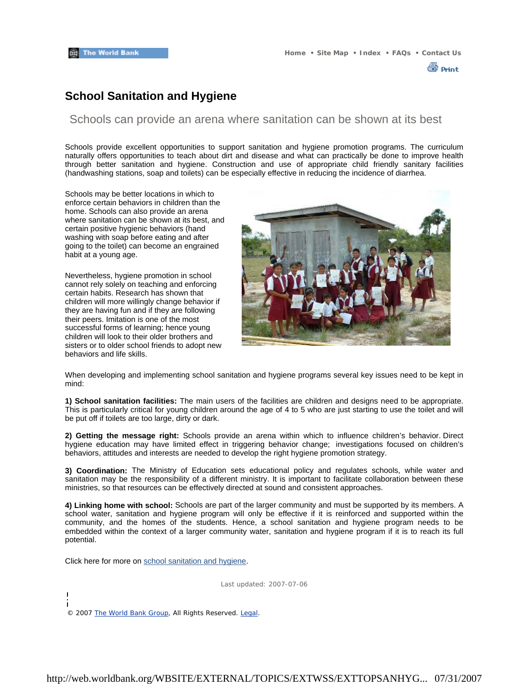∰ Print

### **School Sanitation and Hygiene**

### Schools can provide an arena where sanitation can be shown at its best

Schools provide excellent opportunities to support sanitation and hygiene promotion programs. The curriculum naturally offers opportunities to teach about dirt and disease and what can practically be done to improve health through better sanitation and hygiene. Construction and use of appropriate child friendly sanitary facilities (handwashing stations, soap and toilets) can be especially effective in reducing the incidence of diarrhea.

Schools may be better locations in which to enforce certain behaviors in children than the home. Schools can also provide an arena where sanitation can be shown at its best, and certain positive hygienic behaviors (hand washing with soap before eating and after going to the toilet) can become an engrained habit at a young age.

Nevertheless, hygiene promotion in school cannot rely solely on teaching and enforcing certain habits. Research has shown that children will more willingly change behavior if they are having fun and if they are following their peers. Imitation is one of the most successful forms of learning; hence young children will look to their older brothers and sisters or to older school friends to adopt new behaviors and life skills.



When developing and implementing school sanitation and hygiene programs several key issues need to be kept in mind:

**1) School sanitation facilities:** The main users of the facilities are children and designs need to be appropriate. This is particularly critical for young children around the age of 4 to 5 who are just starting to use the toilet and will be put off if toilets are too large, dirty or dark.

**2) Getting the message right:** Schools provide an arena within which to influence children's behavior. Direct hygiene education may have limited effect in triggering behavior change; investigations focused on children's behaviors, attitudes and interests are needed to develop the right hygiene promotion strategy.

**3) Coordination:** The Ministry of Education sets educational policy and regulates schools, while water and sanitation may be the responsibility of a different ministry. It is important to facilitate collaboration between these ministries, so that resources can be effectively directed at sound and consistent approaches.

**4) Linking home with school:** Schools are part of the larger community and must be supported by its members. A school water, sanitation and hygiene program will only be effective if it is reinforced and supported within the community, and the homes of the students. Hence, a school sanitation and hygiene program needs to be embedded within the context of a larger community water, sanitation and hygiene program if it is to reach its full potential.

Click here for more on school sanitation and hygiene.

Last updated: 2007-07-06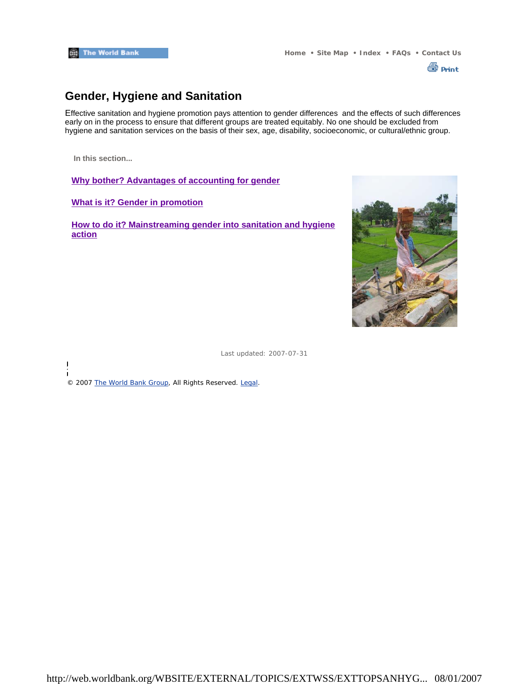

# **Gender, Hygiene and Sanitation**

Effective sanitation and hygiene promotion pays attention to gender differences and the effects of such differences early on in the process to ensure that different groups are treated equitably. No one should be excluded from hygiene and sanitation services on the basis of their sex, age, disability, socioeconomic, or cultural/ethnic group.

**In this section...**

 $\overline{\phantom{a}}$ 

**Why bother? Advantages of accounting for gender**

**What is it? Gender in promotion**

**How to do it? Mainstreaming gender into sanitation and hygiene action**



Last updated: 2007-07-31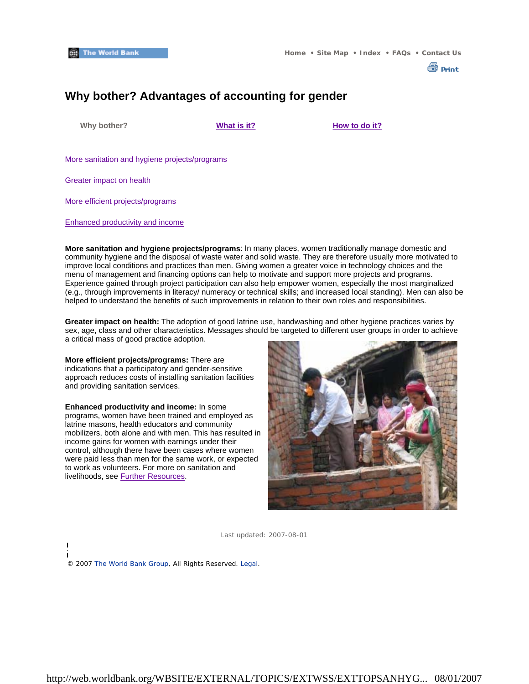

# **Why bother? Advantages of accounting for gender**

 **Why bother? What is it? How to do it?**

More sanitation and hygiene projects/programs

Greater impact on health

More efficient projects/programs

Enhanced productivity and income

**More sanitation and hygiene projects/programs**: In many places, women traditionally manage domestic and community hygiene and the disposal of waste water and solid waste. They are therefore usually more motivated to improve local conditions and practices than men. Giving women a greater voice in technology choices and the menu of management and financing options can help to motivate and support more projects and programs. Experience gained through project participation can also help empower women, especially the most marginalized (e.g., through improvements in literacy/ numeracy or technical skills; and increased local standing). Men can also be helped to understand the benefits of such improvements in relation to their own roles and responsibilities.

**Greater impact on health:** The adoption of good latrine use, handwashing and other hygiene practices varies by sex, age, class and other characteristics. Messages should be targeted to different user groups in order to achieve a critical mass of good practice adoption.

**More efficient projects/programs:** There are indications that a participatory and gender-sensitive approach reduces costs of installing sanitation facilities and providing sanitation services.

**Enhanced productivity and income:** In some programs, women have been trained and employed as latrine masons, health educators and community mobilizers, both alone and with men. This has resulted in income gains for women with earnings under their control, although there have been cases where women were paid less than men for the same work, or expected to work as volunteers. For more on sanitation and livelihoods, see Further Resources.



Last updated: 2007-08-01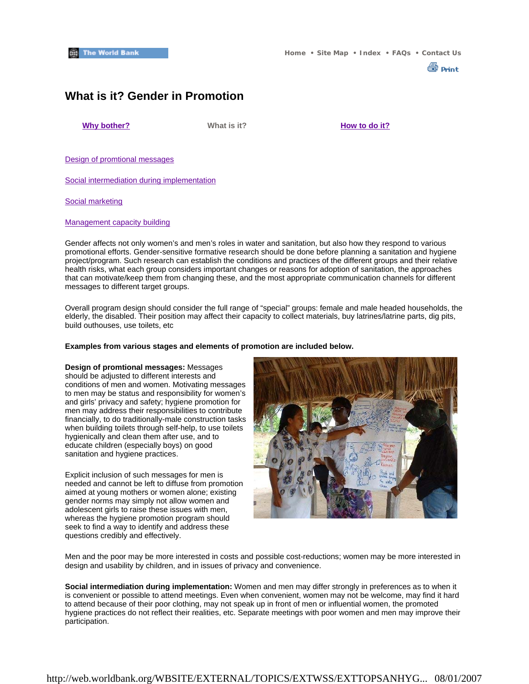

### **What is it? Gender in Promotion**

**Why bother? What is it? How to do it?** 

Design of promtional messages

Social intermediation during implementation

Social marketing

#### Management capacity building

Gender affects not only women's and men's roles in water and sanitation, but also how they respond to various promotional efforts. Gender-sensitive formative research should be done before planning a sanitation and hygiene project/program. Such research can establish the conditions and practices of the different groups and their relative health risks, what each group considers important changes or reasons for adoption of sanitation, the approaches that can motivate/keep them from changing these, and the most appropriate communication channels for different messages to different target groups.

Overall program design should consider the full range of "special" groups: female and male headed households, the elderly, the disabled. Their position may affect their capacity to collect materials, buy latrines/latrine parts, dig pits, build outhouses, use toilets, etc

#### **Examples from various stages and elements of promotion are included below.**

**Design of promtional messages:** Messages should be adjusted to different interests and conditions of men and women. Motivating messages to men may be status and responsibility for women's and girls' privacy and safety; hygiene promotion for men may address their responsibilities to contribute financially, to do traditionally-male construction tasks when building toilets through self-help, to use toilets hygienically and clean them after use, and to educate children (especially boys) on good sanitation and hygiene practices.

Explicit inclusion of such messages for men is needed and cannot be left to diffuse from promotion aimed at young mothers or women alone; existing gender norms may simply not allow women and adolescent girls to raise these issues with men, whereas the hygiene promotion program should seek to find a way to identify and address these questions credibly and effectively.



Men and the poor may be more interested in costs and possible cost-reductions; women may be more interested in design and usability by children, and in issues of privacy and convenience.

**Social intermediation during implementation:** Women and men may differ strongly in preferences as to when it is convenient or possible to attend meetings. Even when convenient, women may not be welcome, may find it hard to attend because of their poor clothing, may not speak up in front of men or influential women, the promoted hygiene practices do not reflect their realities, etc. Separate meetings with poor women and men may improve their participation.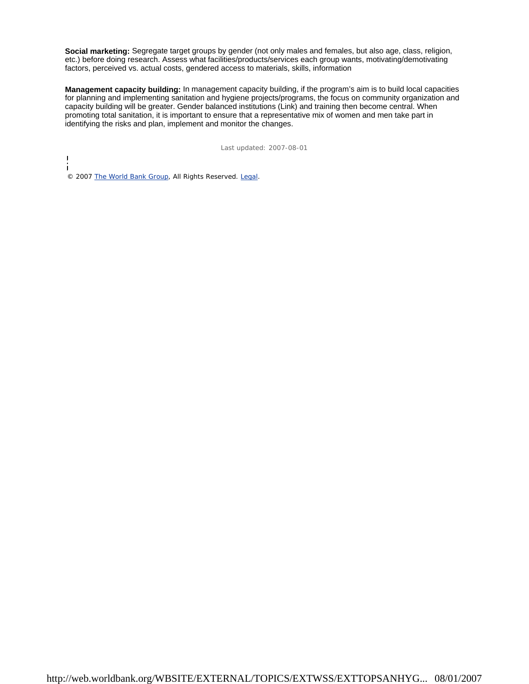**Social marketing:** Segregate target groups by gender (not only males and females, but also age, class, religion, etc.) before doing research. Assess what facilities/products/services each group wants, motivating/demotivating factors, perceived vs. actual costs, gendered access to materials, skills, information

**Management capacity building:** In management capacity building, if the program's aim is to build local capacities for planning and implementing sanitation and hygiene projects/programs, the focus on community organization and capacity building will be greater. Gender balanced institutions (Link) and training then become central. When promoting total sanitation, it is important to ensure that a representative mix of women and men take part in identifying the risks and plan, implement and monitor the changes.

Last updated: 2007-08-01

i © 2007 The World Bank Group, All Rights Reserved. Legal.

 $\begin{array}{c} \hline \end{array}$